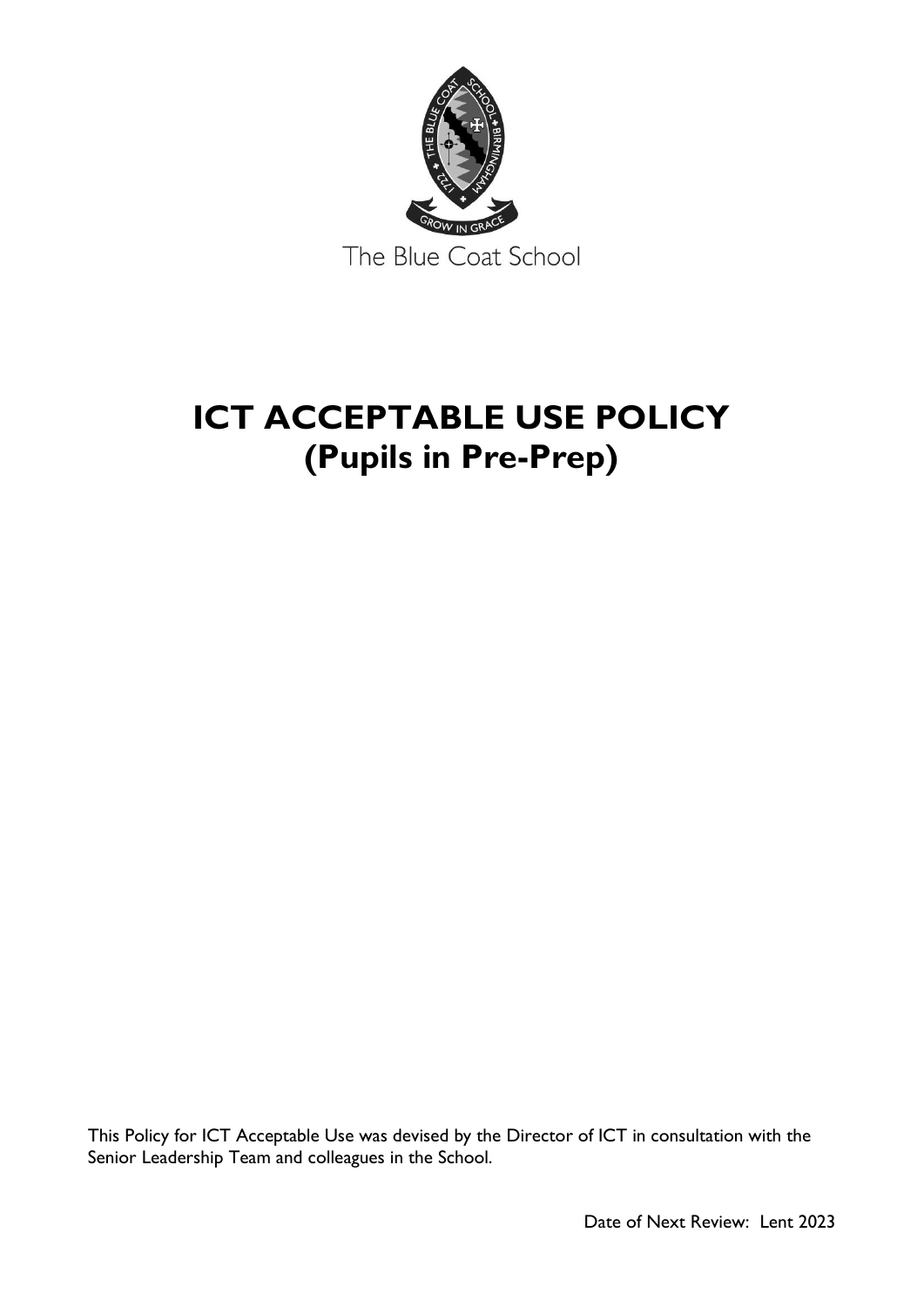

# **ICT ACCEPTABLE USE POLICY (Pupils in Pre-Prep)**

This Policy for ICT Acceptable Use was devised by the Director of ICT in consultation with the Senior Leadership Team and colleagues in the School.

Date of Next Review: Lent 2023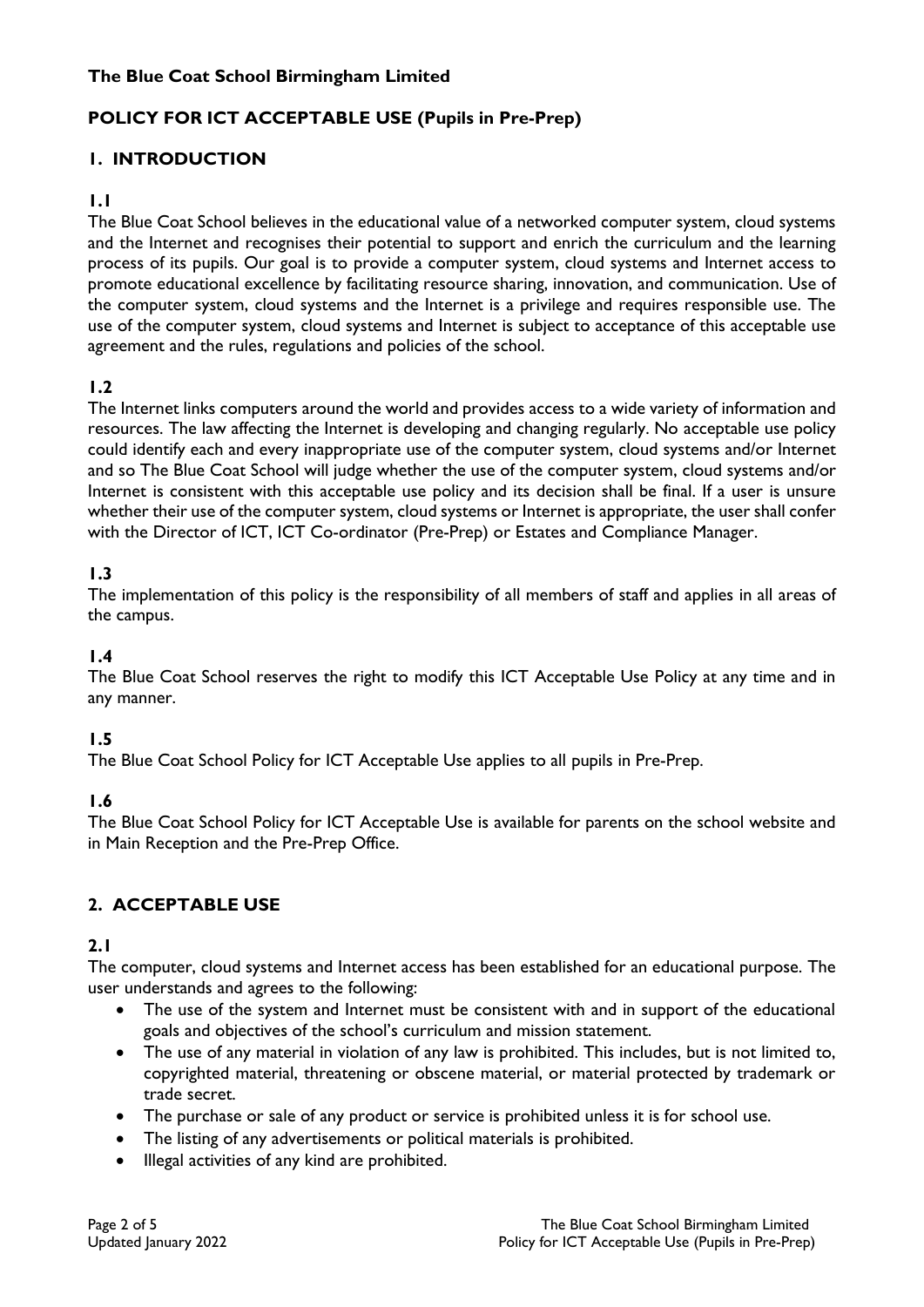# **The Blue Coat School Birmingham Limited**

# **POLICY FOR ICT ACCEPTABLE USE (Pupils in Pre-Prep)**

# **1. INTRODUCTION**

#### **1.1**

The Blue Coat School believes in the educational value of a networked computer system, cloud systems and the Internet and recognises their potential to support and enrich the curriculum and the learning process of its pupils. Our goal is to provide a computer system, cloud systems and Internet access to promote educational excellence by facilitating resource sharing, innovation, and communication. Use of the computer system, cloud systems and the Internet is a privilege and requires responsible use. The use of the computer system, cloud systems and Internet is subject to acceptance of this acceptable use agreement and the rules, regulations and policies of the school.

#### **1.2**

The Internet links computers around the world and provides access to a wide variety of information and resources. The law affecting the Internet is developing and changing regularly. No acceptable use policy could identify each and every inappropriate use of the computer system, cloud systems and/or Internet and so The Blue Coat School will judge whether the use of the computer system, cloud systems and/or Internet is consistent with this acceptable use policy and its decision shall be final. If a user is unsure whether their use of the computer system, cloud systems or Internet is appropriate, the user shall confer with the Director of ICT, ICT Co-ordinator (Pre-Prep) or Estates and Compliance Manager.

# **1.3**

The implementation of this policy is the responsibility of all members of staff and applies in all areas of the campus.

#### **1.4**

The Blue Coat School reserves the right to modify this ICT Acceptable Use Policy at any time and in any manner.

# **1.5**

The Blue Coat School Policy for ICT Acceptable Use applies to all pupils in Pre-Prep.

# **1.6**

The Blue Coat School Policy for ICT Acceptable Use is available for parents on the school website and in Main Reception and the Pre-Prep Office.

# **2. ACCEPTABLE USE**

#### **2.1**

The computer, cloud systems and Internet access has been established for an educational purpose. The user understands and agrees to the following:

- The use of the system and Internet must be consistent with and in support of the educational goals and objectives of the school's curriculum and mission statement.
- The use of any material in violation of any law is prohibited. This includes, but is not limited to, copyrighted material, threatening or obscene material, or material protected by trademark or trade secret.
- The purchase or sale of any product or service is prohibited unless it is for school use.
- The listing of any advertisements or political materials is prohibited.
- Illegal activities of any kind are prohibited.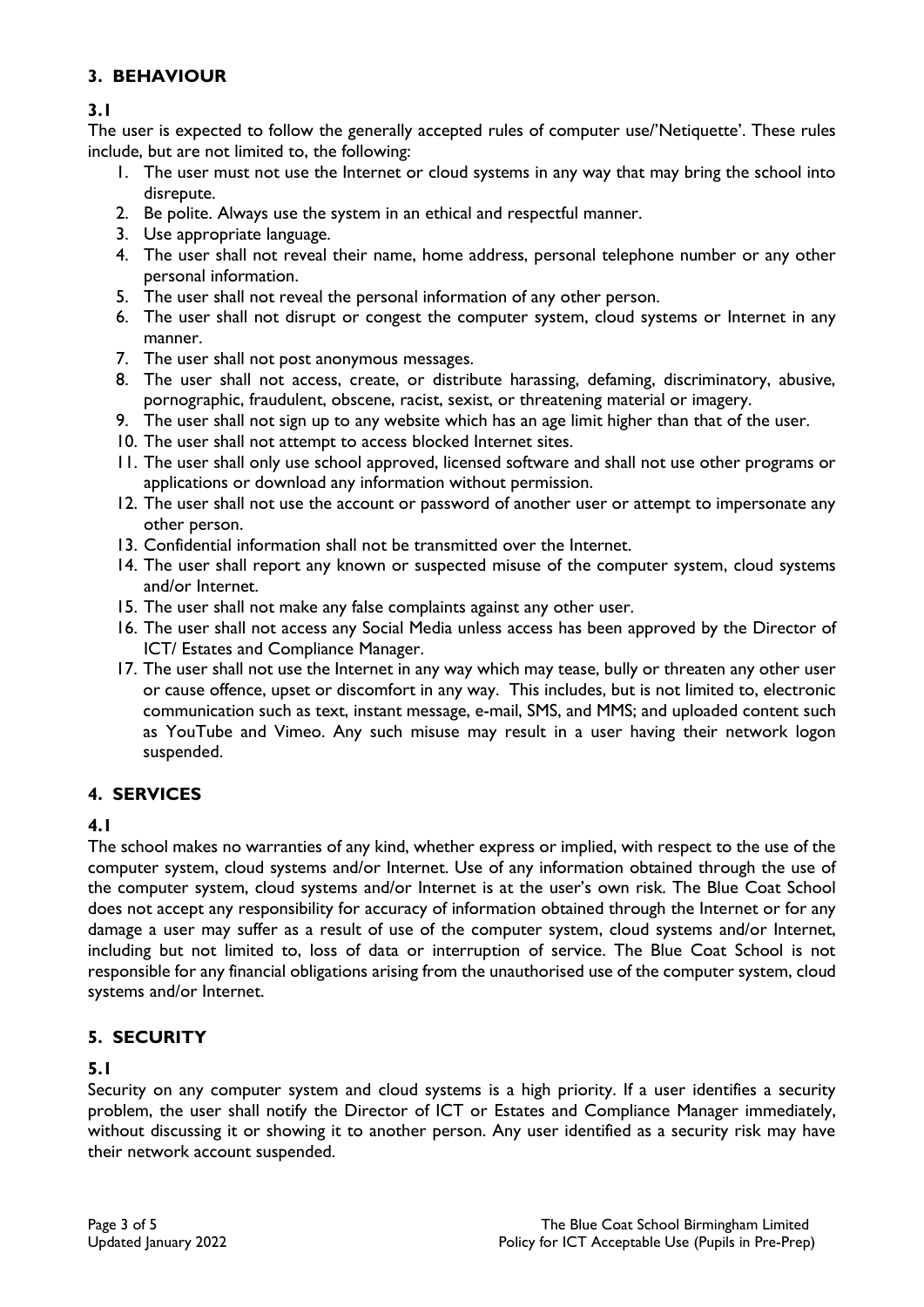# **3. BEHAVIOUR**

# **3.1**

The user is expected to follow the generally accepted rules of computer use/'Netiquette'. These rules include, but are not limited to, the following:

- 1. The user must not use the Internet or cloud systems in any way that may bring the school into disrepute.
- 2. Be polite. Always use the system in an ethical and respectful manner.
- 3. Use appropriate language.
- 4. The user shall not reveal their name, home address, personal telephone number or any other personal information.
- 5. The user shall not reveal the personal information of any other person.
- 6. The user shall not disrupt or congest the computer system, cloud systems or Internet in any manner.
- 7. The user shall not post anonymous messages.
- 8. The user shall not access, create, or distribute harassing, defaming, discriminatory, abusive, pornographic, fraudulent, obscene, racist, sexist, or threatening material or imagery.
- 9. The user shall not sign up to any website which has an age limit higher than that of the user.
- 10. The user shall not attempt to access blocked Internet sites.
- 11. The user shall only use school approved, licensed software and shall not use other programs or applications or download any information without permission.
- 12. The user shall not use the account or password of another user or attempt to impersonate any other person.
- 13. Confidential information shall not be transmitted over the Internet.
- 14. The user shall report any known or suspected misuse of the computer system, cloud systems and/or Internet.
- 15. The user shall not make any false complaints against any other user.
- 16. The user shall not access any Social Media unless access has been approved by the Director of ICT/ Estates and Compliance Manager.
- 17. The user shall not use the Internet in any way which may tease, bully or threaten any other user or cause offence, upset or discomfort in any way. This includes, but is not limited to, electronic communication such as text, instant message, e-mail, SMS, and MMS; and uploaded content such as YouTube and Vimeo. Any such misuse may result in a user having their network logon suspended.

# **4. SERVICES**

# **4.1**

The school makes no warranties of any kind, whether express or implied, with respect to the use of the computer system, cloud systems and/or Internet. Use of any information obtained through the use of the computer system, cloud systems and/or Internet is at the user's own risk. The Blue Coat School does not accept any responsibility for accuracy of information obtained through the Internet or for any damage a user may suffer as a result of use of the computer system, cloud systems and/or Internet, including but not limited to, loss of data or interruption of service. The Blue Coat School is not responsible for any financial obligations arising from the unauthorised use of the computer system, cloud systems and/or Internet.

# **5. SECURITY**

# **5.1**

Security on any computer system and cloud systems is a high priority. If a user identifies a security problem, the user shall notify the Director of ICT or Estates and Compliance Manager immediately, without discussing it or showing it to another person. Any user identified as a security risk may have their network account suspended.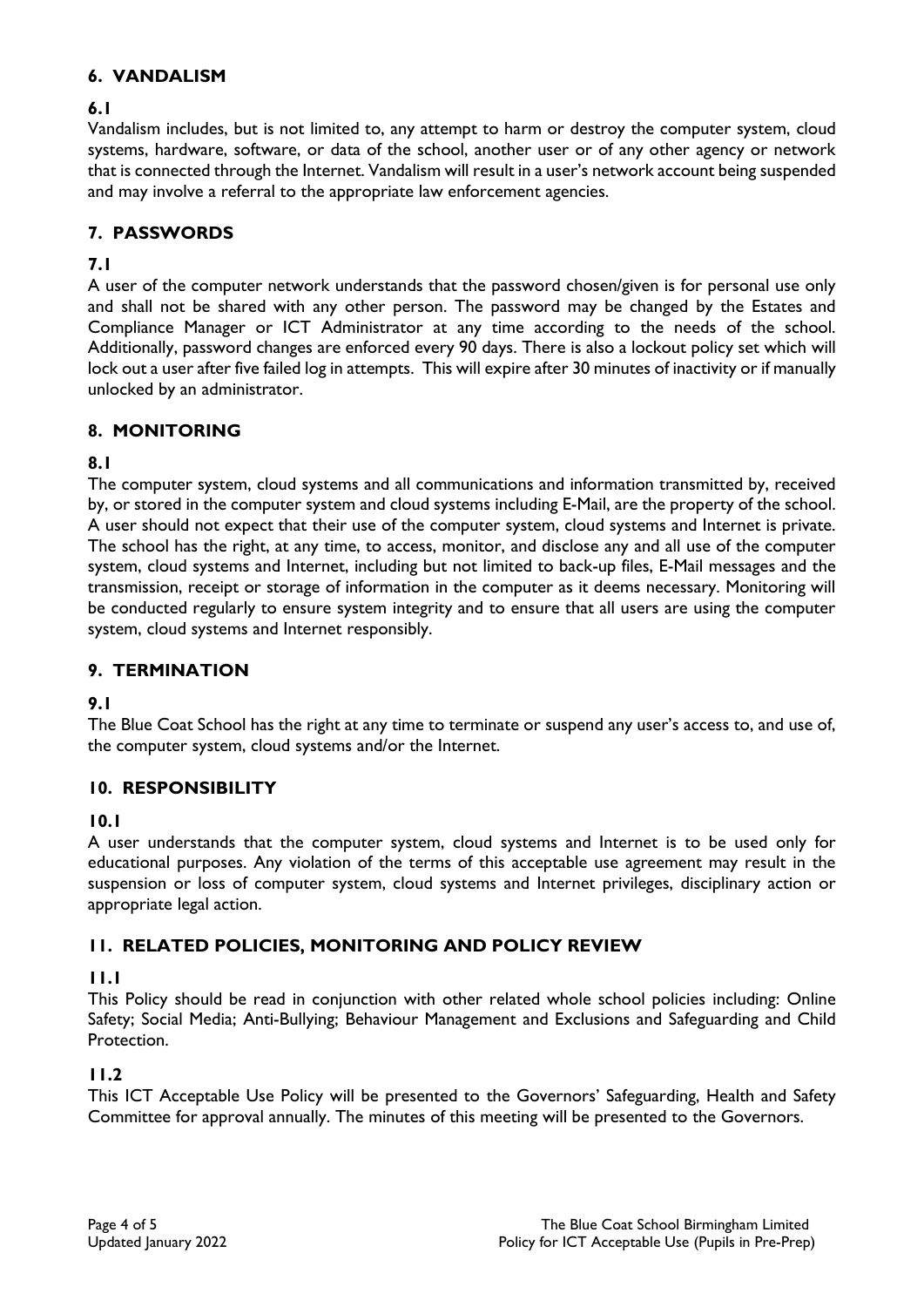# **6. VANDALISM**

# **6.1**

Vandalism includes, but is not limited to, any attempt to harm or destroy the computer system, cloud systems, hardware, software, or data of the school, another user or of any other agency or network that is connected through the Internet. Vandalism will result in a user's network account being suspended and may involve a referral to the appropriate law enforcement agencies.

# **7. PASSWORDS**

# **7.1**

A user of the computer network understands that the password chosen/given is for personal use only and shall not be shared with any other person. The password may be changed by the Estates and Compliance Manager or ICT Administrator at any time according to the needs of the school. Additionally, password changes are enforced every 90 days. There is also a lockout policy set which will lock out a user after five failed log in attempts. This will expire after 30 minutes of inactivity or if manually unlocked by an administrator.

# **8. MONITORING**

# **8.1**

The computer system, cloud systems and all communications and information transmitted by, received by, or stored in the computer system and cloud systems including E-Mail, are the property of the school. A user should not expect that their use of the computer system, cloud systems and Internet is private. The school has the right, at any time, to access, monitor, and disclose any and all use of the computer system, cloud systems and Internet, including but not limited to back-up files, E-Mail messages and the transmission, receipt or storage of information in the computer as it deems necessary. Monitoring will be conducted regularly to ensure system integrity and to ensure that all users are using the computer system, cloud systems and Internet responsibly.

# **9. TERMINATION**

# **9.1**

The Blue Coat School has the right at any time to terminate or suspend any user's access to, and use of, the computer system, cloud systems and/or the Internet.

# **10. RESPONSIBILITY**

# **10.1**

A user understands that the computer system, cloud systems and Internet is to be used only for educational purposes. Any violation of the terms of this acceptable use agreement may result in the suspension or loss of computer system, cloud systems and Internet privileges, disciplinary action or appropriate legal action.

# **11. RELATED POLICIES, MONITORING AND POLICY REVIEW**

# **11.1**

This Policy should be read in conjunction with other related whole school policies including: Online Safety; Social Media; Anti-Bullying; Behaviour Management and Exclusions and Safeguarding and Child Protection.

# **11.2**

This ICT Acceptable Use Policy will be presented to the Governors' Safeguarding, Health and Safety Committee for approval annually. The minutes of this meeting will be presented to the Governors.